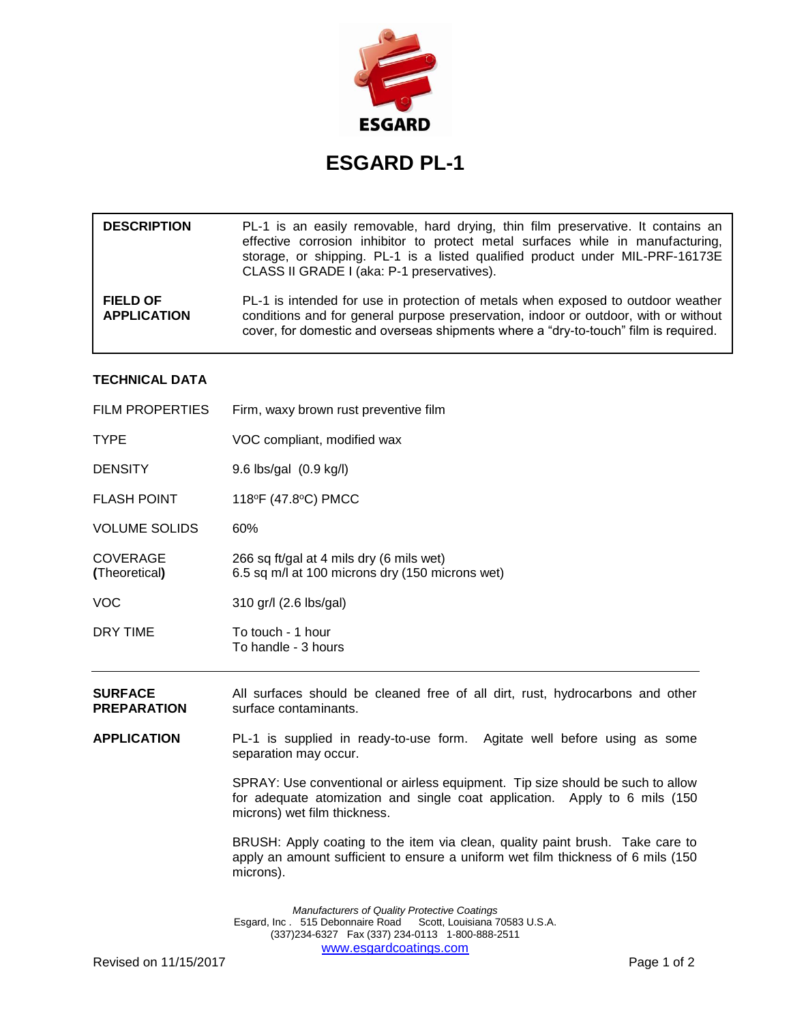

## **ESGARD PL-1**

| <b>DESCRIPTION</b>                    | PL-1 is an easily removable, hard drying, thin film preservative. It contains an<br>effective corrosion inhibitor to protect metal surfaces while in manufacturing,<br>storage, or shipping. PL-1 is a listed qualified product under MIL-PRF-16173E<br>CLASS II GRADE I (aka: P-1 preservatives). |
|---------------------------------------|----------------------------------------------------------------------------------------------------------------------------------------------------------------------------------------------------------------------------------------------------------------------------------------------------|
| <b>FIELD OF</b><br><b>APPLICATION</b> | PL-1 is intended for use in protection of metals when exposed to outdoor weather<br>conditions and for general purpose preservation, indoor or outdoor, with or without<br>cover, for domestic and overseas shipments where a "dry-to-touch" film is required.                                     |

## **TECHNICAL DATA**

| <b>SURFACE</b>                   | All surfaces should be cleaned free of all dirt rust hydrocarbons and other                 |
|----------------------------------|---------------------------------------------------------------------------------------------|
| DRY TIME                         | To touch - 1 hour<br>To handle - 3 hours                                                    |
| <b>VOC</b>                       | 310 gr/l (2.6 lbs/gal)                                                                      |
| <b>COVERAGE</b><br>(Theoretical) | 266 sq ft/gal at 4 mils dry (6 mils wet)<br>6.5 sq m/l at 100 microns dry (150 microns wet) |
| <b>VOLUME SOLIDS</b>             | 60%                                                                                         |
| <b>FLASH POINT</b>               | 118°F (47.8°C) PMCC                                                                         |
| <b>DENSITY</b>                   | 9.6 lbs/gal (0.9 kg/l)                                                                      |
| <b>TYPE</b>                      | VOC compliant, modified wax                                                                 |
| <b>FILM PROPERTIES</b>           | Firm, waxy brown rust preventive film                                                       |
|                                  |                                                                                             |

**SURFACE** All surfaces should be cleaned free of all dirt, rust, hydrocarbons and other<br>**PREPARATION** surface contaminants. surface contaminants.

**APPLICATION** PL-1 is supplied in ready-to-use form. Agitate well before using as some separation may occur.

> SPRAY: Use conventional or airless equipment. Tip size should be such to allow for adequate atomization and single coat application. Apply to 6 mils (150 microns) wet film thickness.

> BRUSH: Apply coating to the item via clean, quality paint brush. Take care to apply an amount sufficient to ensure a uniform wet film thickness of 6 mils (150 microns).

*Manufacturers of Quality Protective Coatings* Esgard, Inc . 515 Debonnaire Road Scott, Louisiana 70583 U.S.A. (337)234-6327 Fax (337) 234-0113 1-800-888-2511 [www.esgardcoatings.com](mailto:esgardUSA@worldnet.att.net)